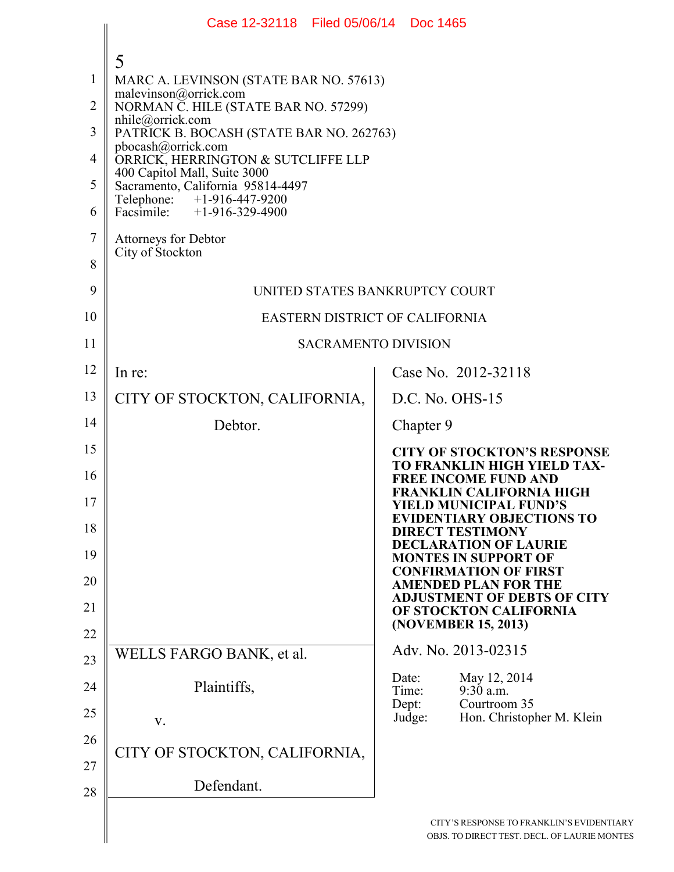|                | Case 12-32118 Filed 05/06/14 Doc 1465                             |                |                                                                                     |
|----------------|-------------------------------------------------------------------|----------------|-------------------------------------------------------------------------------------|
|                | 5                                                                 |                |                                                                                     |
| 1              | MARC A. LEVINSON (STATE BAR NO. 57613)                            |                |                                                                                     |
| $\overline{2}$ | malevinson@orrick.com<br>NORMAN C. HILE (STATE BAR NO. 57299)     |                |                                                                                     |
| 3              | nhile@orrick.com<br>PATRICK B. BOCASH (STATE BAR NO. 262763)      |                |                                                                                     |
| $\overline{4}$ | pbocash@orrick.com<br>ORRICK, HERRINGTON & SUTCLIFFE LLP          |                |                                                                                     |
| 5              | 400 Capitol Mall, Suite 3000<br>Sacramento, California 95814-4497 |                |                                                                                     |
| 6              | Telephone: +1-916-447-9200<br>Facsimile: +1-916-329-4900          |                |                                                                                     |
| $\overline{7}$ | Attorneys for Debtor<br>City of Stockton                          |                |                                                                                     |
| 8              |                                                                   |                |                                                                                     |
| 9              | UNITED STATES BANKRUPTCY COURT                                    |                |                                                                                     |
| 10             | <b>EASTERN DISTRICT OF CALIFORNIA</b>                             |                |                                                                                     |
| 11             | <b>SACRAMENTO DIVISION</b>                                        |                |                                                                                     |
| 12             | In re:                                                            |                | Case No. 2012-32118                                                                 |
| 13             | CITY OF STOCKTON, CALIFORNIA,                                     |                | $D.C. No. OHS-15$                                                                   |
| 14             | Debtor.                                                           | Chapter 9      |                                                                                     |
| 15             |                                                                   |                | <b>CITY OF STOCKTON'S RESPONSE</b><br>TO FRANKLIN HIGH YIELD TAX-                   |
| 16             |                                                                   |                | <b>FREE INCOME FUND AND</b><br><b>FRANKLIN CALIFORNIA HIGH</b>                      |
| 17             |                                                                   |                | <b>YIELD MUNICIPAL FUND'S</b><br><b>EVIDENTIARY OBJECTIONS TO</b>                   |
| 18             |                                                                   |                | <b>DIRECT TESTIMONY</b><br><b>DECLARATION OF LAURIE</b>                             |
| 19             |                                                                   |                | <b>MONTES IN SUPPORT OF</b><br><b>CONFIRMATION OF FIRST</b>                         |
| 20             |                                                                   |                | <b>AMENDED PLAN FOR THE</b><br><b>ADJUSTMENT OF DEBTS OF CITY</b>                   |
| 21             |                                                                   |                | OF STOCKTON CALIFORNIA<br>(NOVEMBER 15, 2013)                                       |
| 22             | WELLS FARGO BANK, et al.                                          |                | Adv. No. 2013-02315                                                                 |
| 23             |                                                                   | Date:          | May 12, 2014                                                                        |
| 24             | Plaintiffs,                                                       | Time:<br>Dept: | 9:30 a.m.<br>Courtroom 35                                                           |
| 25             | V.                                                                | Judge:         | Hon. Christopher M. Klein                                                           |
| 26             | CITY OF STOCKTON, CALIFORNIA,                                     |                |                                                                                     |
| 27             | Defendant.                                                        |                |                                                                                     |
| 28             |                                                                   |                |                                                                                     |
|                |                                                                   |                | CITY'S RESPONSE TO FRANKLIN'S EVIDENTI<br>OBJS. TO DIRECT TEST. DECL. OF LAURIE MON |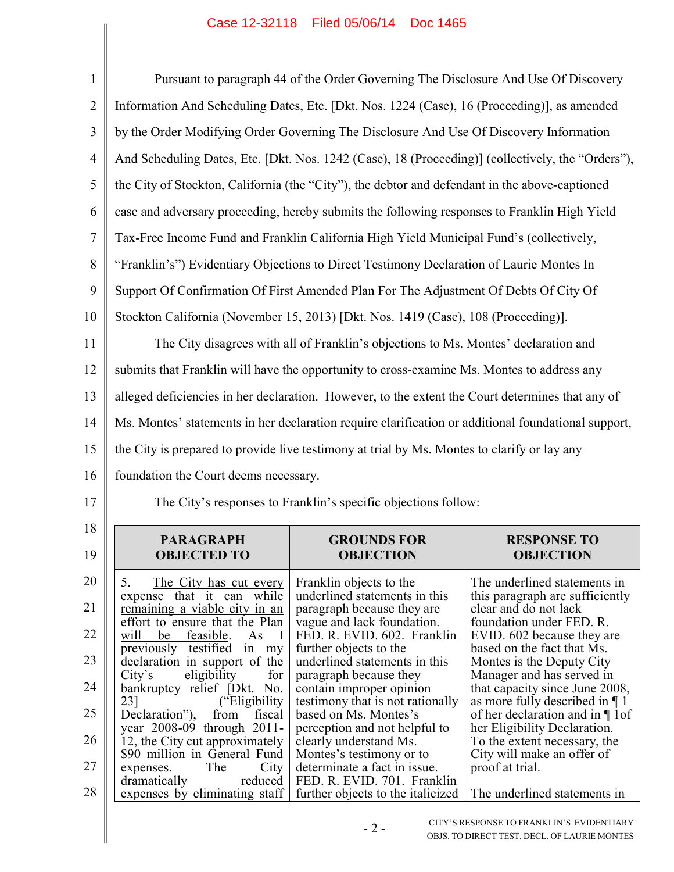## Case 12-32118 Filed 05/06/14 Doc 1465

| $\mathbf{1}$   |                                                                                                     | Pursuant to paragraph 44 of the Order Governing The Disclosure And Use Of Discovery     |                                                                          |
|----------------|-----------------------------------------------------------------------------------------------------|-----------------------------------------------------------------------------------------|--------------------------------------------------------------------------|
| $\overline{2}$ | Information And Scheduling Dates, Etc. [Dkt. Nos. 1224 (Case), 16 (Proceeding)], as amended         |                                                                                         |                                                                          |
| 3              | by the Order Modifying Order Governing The Disclosure And Use Of Discovery Information              |                                                                                         |                                                                          |
| $\overline{4}$ | And Scheduling Dates, Etc. [Dkt. Nos. 1242 (Case), 18 (Proceeding)] (collectively, the "Orders"),   |                                                                                         |                                                                          |
| 5              | the City of Stockton, California (the "City"), the debtor and defendant in the above-captioned      |                                                                                         |                                                                          |
| 6              | case and adversary proceeding, hereby submits the following responses to Franklin High Yield        |                                                                                         |                                                                          |
| $\tau$         | Tax-Free Income Fund and Franklin California High Yield Municipal Fund's (collectively,             |                                                                                         |                                                                          |
| 8              | "Franklin's") Evidentiary Objections to Direct Testimony Declaration of Laurie Montes In            |                                                                                         |                                                                          |
| 9              | Support Of Confirmation Of First Amended Plan For The Adjustment Of Debts Of City Of                |                                                                                         |                                                                          |
| 10             | Stockton California (November 15, 2013) [Dkt. Nos. 1419 (Case), 108 (Proceeding)].                  |                                                                                         |                                                                          |
| 11             |                                                                                                     | The City disagrees with all of Franklin's objections to Ms. Montes' declaration and     |                                                                          |
| 12             | submits that Franklin will have the opportunity to cross-examine Ms. Montes to address any          |                                                                                         |                                                                          |
| 13             | alleged deficiencies in her declaration. However, to the extent the Court determines that any of    |                                                                                         |                                                                          |
| 14             | Ms. Montes' statements in her declaration require clarification or additional foundational support, |                                                                                         |                                                                          |
| 15             | the City is prepared to provide live testimony at trial by Ms. Montes to clarify or lay any         |                                                                                         |                                                                          |
| 16             | foundation the Court deems necessary.                                                               |                                                                                         |                                                                          |
| 17             |                                                                                                     | The City's responses to Franklin's specific objections follow:                          |                                                                          |
| 18<br>19       | <b>PARAGRAPH</b><br><b>OBJECTED TO</b>                                                              | <b>GROUNDS FOR</b><br><b>OBJECTION</b>                                                  | <b>RESPONSE TO</b><br><b>OBJECTION</b>                                   |
| 20             | 5.<br>The City has cut every                                                                        | Franklin objects to the                                                                 | The underlined statements in                                             |
| 21             | that it can while<br>expense<br>remaining a viable city in an                                       | underlined statements in this<br>paragraph because they are                             | this paragraph are sufficiently<br>clear and do not lack                 |
| 22             | effort to ensure that the Plan<br>will<br>feasible.<br>be<br>As<br>$\mathbf{I}$                     | vague and lack foundation.<br>FED. R. EVID. 602. Franklin                               | foundation under FED. R.<br>EVID. 602 because they are                   |
| 23             | previously testified in my<br>declaration in support of the                                         | further objects to the<br>underlined statements in this                                 | based on the fact that Ms.<br>Montes is the Deputy City                  |
| 24             | City's<br>eligibility<br>for<br>bankruptcy relief [Dkt. No.                                         | paragraph because they<br>contain improper opinion                                      | Manager and has served in<br>that capacity since June 2008,              |
| 25             | ("Eligibility")<br>23]<br>Declaration"),<br>from<br>fiscal                                          | testimony that is not rationally<br>based on Ms. Montes's                               | as more fully described in $\P$ 1<br>of her declaration and in $\P$ 1 of |
| 26             | year 2008-09 through 2011-<br>12, the City cut approximately<br>\$90 million in General Fund        | perception and not helpful to<br>clearly understand Ms.                                 | her Eligibility Declaration.<br>To the extent necessary, the             |
| 27             | The<br>City<br>expenses.<br>dramatically<br>reduced                                                 | Montes's testimony or to<br>determinate a fact in issue.<br>FED. R. EVID. 701. Franklin | City will make an offer of<br>proof at trial.                            |
| 28             | expenses by eliminating staff                                                                       | further objects to the italicized                                                       | The underlined statements in                                             |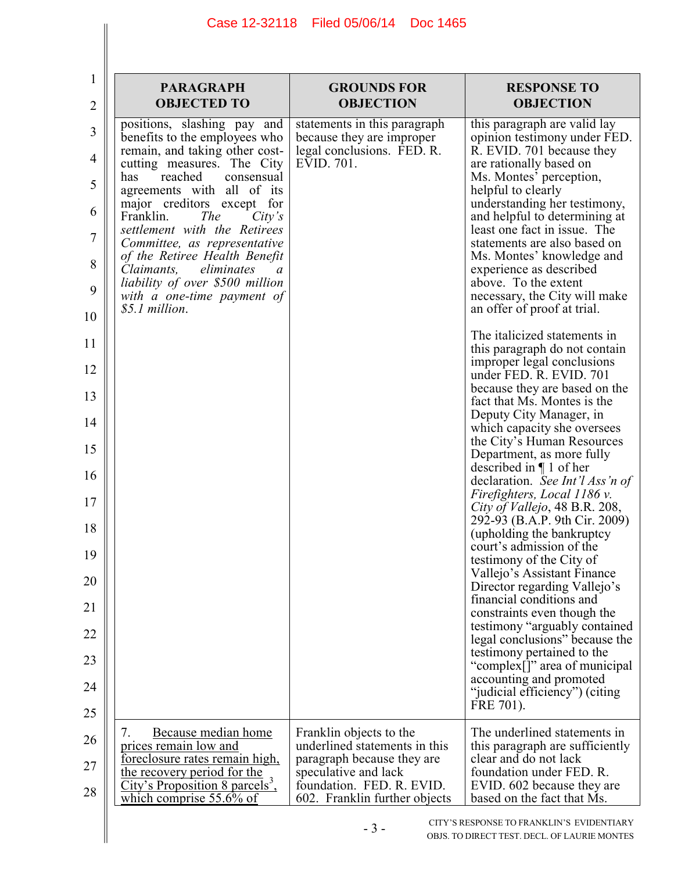| 1<br>$\overline{2}$                                                               | <b>PARAGRAPH</b><br><b>OBJECTED TO</b>                                                                                                                                                                                                                                                                                                                                                                                                                                             | <b>GROUNDS FOR</b><br><b>OBJECTION</b>                                                                                                                                       | <b>RESPONSE TO</b><br><b>OBJECTION</b>                                                                                                                                                                                                                                                                                                                                                                                                                                                                                                                                                                                                           |
|-----------------------------------------------------------------------------------|------------------------------------------------------------------------------------------------------------------------------------------------------------------------------------------------------------------------------------------------------------------------------------------------------------------------------------------------------------------------------------------------------------------------------------------------------------------------------------|------------------------------------------------------------------------------------------------------------------------------------------------------------------------------|--------------------------------------------------------------------------------------------------------------------------------------------------------------------------------------------------------------------------------------------------------------------------------------------------------------------------------------------------------------------------------------------------------------------------------------------------------------------------------------------------------------------------------------------------------------------------------------------------------------------------------------------------|
| $\overline{3}$<br>4<br>5<br>6<br>$\overline{7}$<br>8<br>9<br>10<br>11<br>12<br>13 | positions, slashing pay and<br>benefits to the employees who<br>remain, and taking other cost-<br>cutting measures. The City<br>has<br>reached<br>consensual<br>agreements with all of its<br>major creditors except for<br>Franklin.<br><i>The</i><br>City's<br>settlement with the Retirees<br>Committee, as representative<br>of the Retiree Health Benefit<br>eliminates<br>Claimants,<br>a<br>liability of over \$500 million<br>with a one-time payment of<br>\$5.1 million. | statements in this paragraph<br>because they are improper<br>legal conclusions. FED. R.<br>EVID. 701.                                                                        | this paragraph are valid lay<br>opinion testimony under FED.<br>R. EVID. 701 because they<br>are rationally based on<br>Ms. Montes' perception,<br>helpful to clearly<br>understanding her testimony,<br>and helpful to determining at<br>least one fact in issue. The<br>statements are also based on<br>Ms. Montes' knowledge and<br>experience as described<br>above. To the extent<br>necessary, the City will make<br>an offer of proof at trial.<br>The italicized statements in<br>this paragraph do not contain<br>improper legal conclusions<br>under FED. R. EVID. 701<br>because they are based on the<br>fact that Ms. Montes is the |
| 14                                                                                |                                                                                                                                                                                                                                                                                                                                                                                                                                                                                    |                                                                                                                                                                              | Deputy City Manager, in<br>which capacity she oversees<br>the City's Human Resources                                                                                                                                                                                                                                                                                                                                                                                                                                                                                                                                                             |
| 15                                                                                |                                                                                                                                                                                                                                                                                                                                                                                                                                                                                    |                                                                                                                                                                              | Department, as more fully<br>described in $\P$ 1 of her                                                                                                                                                                                                                                                                                                                                                                                                                                                                                                                                                                                          |
| 16                                                                                |                                                                                                                                                                                                                                                                                                                                                                                                                                                                                    |                                                                                                                                                                              | declaration. See Int'l Ass'n of<br>Firefighters, Local 1186 v.                                                                                                                                                                                                                                                                                                                                                                                                                                                                                                                                                                                   |
| 17                                                                                |                                                                                                                                                                                                                                                                                                                                                                                                                                                                                    |                                                                                                                                                                              | City of Vallejo, 48 B.R. 208,<br>292-93 (B.A.P. 9th Cir. 2009)                                                                                                                                                                                                                                                                                                                                                                                                                                                                                                                                                                                   |
| 18<br>19                                                                          |                                                                                                                                                                                                                                                                                                                                                                                                                                                                                    |                                                                                                                                                                              | (upholding the bankruptcy)<br>court's admission of the                                                                                                                                                                                                                                                                                                                                                                                                                                                                                                                                                                                           |
| 20                                                                                |                                                                                                                                                                                                                                                                                                                                                                                                                                                                                    |                                                                                                                                                                              | testimony of the City of<br>Vallejo's Assistant Finance                                                                                                                                                                                                                                                                                                                                                                                                                                                                                                                                                                                          |
| 21                                                                                |                                                                                                                                                                                                                                                                                                                                                                                                                                                                                    |                                                                                                                                                                              | Director regarding Vallejo's<br>financial conditions and<br>constraints even though the                                                                                                                                                                                                                                                                                                                                                                                                                                                                                                                                                          |
| 22                                                                                |                                                                                                                                                                                                                                                                                                                                                                                                                                                                                    |                                                                                                                                                                              | testimony "arguably contained<br>legal conclusions" because the                                                                                                                                                                                                                                                                                                                                                                                                                                                                                                                                                                                  |
| 23                                                                                |                                                                                                                                                                                                                                                                                                                                                                                                                                                                                    |                                                                                                                                                                              | testimony pertained to the<br>"complex[]" area of municipal                                                                                                                                                                                                                                                                                                                                                                                                                                                                                                                                                                                      |
| 24                                                                                |                                                                                                                                                                                                                                                                                                                                                                                                                                                                                    |                                                                                                                                                                              | accounting and promoted<br>"judicial efficiency") (citing                                                                                                                                                                                                                                                                                                                                                                                                                                                                                                                                                                                        |
| 25                                                                                |                                                                                                                                                                                                                                                                                                                                                                                                                                                                                    |                                                                                                                                                                              | FRE 701).                                                                                                                                                                                                                                                                                                                                                                                                                                                                                                                                                                                                                                        |
| 26<br>27<br>28                                                                    | 7.<br>Because median home<br>prices remain low and<br>foreclosure rates remain high,<br>the recovery period for the<br>City's Proposition 8 parcels <sup>3</sup> ,<br>which comprise 55.6% of                                                                                                                                                                                                                                                                                      | Franklin objects to the<br>underlined statements in this<br>paragraph because they are<br>speculative and lack<br>foundation. FED. R. EVID.<br>602. Franklin further objects | The underlined statements in<br>this paragraph are sufficiently<br>clear and do not lack<br>foundation under FED. R.<br>EVID. 602 because they are<br>based on the fact that Ms.                                                                                                                                                                                                                                                                                                                                                                                                                                                                 |
|                                                                                   |                                                                                                                                                                                                                                                                                                                                                                                                                                                                                    | $-3-$                                                                                                                                                                        | CITY'S RESPONSE TO FRANKLIN'S EVIDENTIARY<br>OBJS. TO DIRECT TEST. DECL. OF LAURIE MONTES                                                                                                                                                                                                                                                                                                                                                                                                                                                                                                                                                        |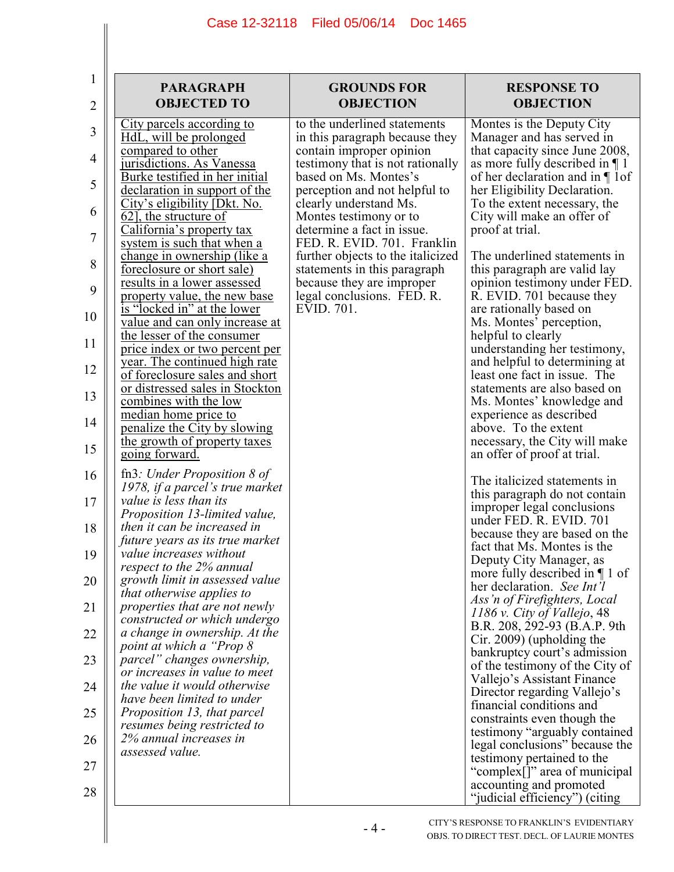## Case 12-32118 Filed 05/06/14 Doc 1465

| 1<br>2         | <b>PARAGRAPH</b><br><b>OBJECTED TO</b>                                                       | <b>GROUNDS FOR</b><br><b>OBJECTION</b>                                         | <b>RESPONSE TO</b><br><b>OBJECTION</b>                                                         |
|----------------|----------------------------------------------------------------------------------------------|--------------------------------------------------------------------------------|------------------------------------------------------------------------------------------------|
| 3              | <u>City parcels according to</u><br>HdL, will be prolonged                                   | to the underlined statements<br>in this paragraph because they                 | Montes is the Deputy City<br>Manager and has served in                                         |
| $\overline{4}$ | compared to other<br>jurisdictions. As Vanessa                                               | contain improper opinion<br>testimony that is not rationally                   | that capacity since June 2008,<br>as more fully described in $\P$ 1                            |
| 5              | Burke testified in her initial<br>declaration in support of the                              | based on Ms. Montes's<br>perception and not helpful to                         | of her declaration and in $\P$ 1 of<br>her Eligibility Declaration.                            |
| 6              | City's eligibility [Dkt. No.<br>62], the structure of<br>California's property tax           | clearly understand Ms.<br>Montes testimony or to<br>determine a fact in issue. | To the extent necessary, the<br>City will make an offer of<br>proof at trial.                  |
| 7              | system is such that when a<br><u>change in ownership (like a</u>                             | FED. R. EVID. 701. Franklin<br>further objects to the italicized               | The underlined statements in                                                                   |
| 8              | foreclosure or short sale)<br>results in a lower assessed                                    | statements in this paragraph<br>because they are improper                      | this paragraph are valid lay<br>opinion testimony under FED.                                   |
| 9              | property value, the new base<br>is "locked in" at the lower                                  | legal conclusions. FED. R.<br>EVID. 701.                                       | R. EVID. 701 because they<br>are rationally based on                                           |
| 10<br>11       | <u>value and can only increase at</u><br>the lesser of the consumer                          |                                                                                | Ms. Montes' perception,<br>helpful to clearly                                                  |
| 12             | price index or two percent per<br><u>year. The continued high rate</u>                       |                                                                                | understanding her testimony,<br>and helpful to determining at                                  |
| 13             | of foreclosure sales and short<br>or distressed sales in Stockton<br>combines with the low   |                                                                                | least one fact in issue. The<br>statements are also based on<br>Ms. Montes' knowledge and      |
| 14             | median home price to<br>penalize the City by slowing                                         |                                                                                | experience as described<br>above. To the extent                                                |
| 15             | the growth of property taxes<br>going forward.                                               |                                                                                | necessary, the City will make<br>an offer of proof at trial.                                   |
| 16             | fn3: Under Proposition $\delta$ of<br>1978, if a parcel's true market                        |                                                                                | The italicized statements in                                                                   |
| 17             | value is less than its<br>Proposition 13-limited value,                                      |                                                                                | this paragraph do not contain<br>improper legal conclusions<br>under FED. R. EVID. 701         |
| 18             | then it can be increased in<br>future years as its true market                               |                                                                                | because they are based on the<br>fact that Ms. Montes is the                                   |
| 19             | value increases without<br>respect to the 2% annual                                          |                                                                                | Deputy City Manager, as<br>more fully described in $\P$ 1 of                                   |
| 20<br>21       | growth limit in assessed value<br>that otherwise applies to<br>properties that are not newly |                                                                                | her declaration. See Int'l<br>Ass'n of Firefighters, Local                                     |
| 22             | constructed or which undergo<br>a change in ownership. At the                                |                                                                                | $1186$ v. City of Vallejo, 48<br>B.R. 208, 292-93 (B.A.P. 9th                                  |
| 23             | point at which a "Prop 8"<br>parcel" changes ownership,                                      |                                                                                | $C$ ir. 2009) (upholding the<br>bankruptcy court's admission                                   |
| 24             | or increases in value to meet<br>the value it would otherwise                                |                                                                                | of the testimony of the City of<br>Vallejo's Assistant Finance<br>Director regarding Vallejo's |
| 25             | have been limited to under<br>Proposition 13, that parcel                                    |                                                                                | financial conditions and<br>constraints even though the                                        |
| 26             | resumes being restricted to<br>2% annual increases in                                        |                                                                                | testimony "arguably contained<br>legal conclusions" because the                                |
| 27             | assessed value.                                                                              |                                                                                | testimony pertained to the<br>"complex[]" area of municipal                                    |
| 28             |                                                                                              |                                                                                | accounting and promoted<br>"judicial efficiency") (citing                                      |